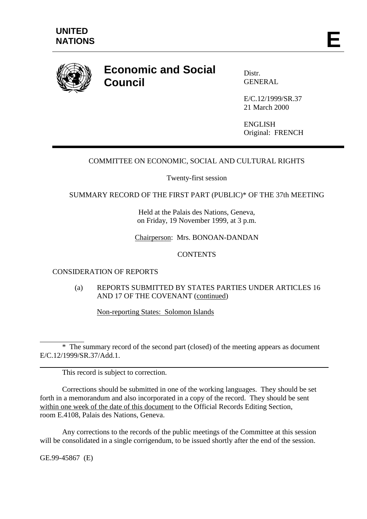

# **Economic and Social Council**

Distr. GENERAL

E/C.12/1999/SR.37 21 March 2000

**ENGLISH** Original: FRENCH

## COMMITTEE ON ECONOMIC, SOCIAL AND CULTURAL RIGHTS

Twenty-first session

### SUMMARY RECORD OF THE FIRST PART (PUBLIC)\* OF THE 37th MEETING

Held at the Palais des Nations, Geneva, on Friday, 19 November 1999, at 3 p.m.

Chairperson: Mrs. BONOAN-DANDAN

### **CONTENTS**

## CONSIDERATION OF REPORTS

(a) REPORTS SUBMITTED BY STATES PARTIES UNDER ARTICLES 16 AND 17 OF THE COVENANT (continued)

Non-reporting States: Solomon Islands

 $\overline{a}$ \* The summary record of the second part (closed) of the meeting appears as document E/C.12/1999/SR.37/Add.1.

This record is subject to correction.

Corrections should be submitted in one of the working languages. They should be set forth in a memorandum and also incorporated in a copy of the record. They should be sent within one week of the date of this document to the Official Records Editing Section, room E.4108, Palais des Nations, Geneva.

Any corrections to the records of the public meetings of the Committee at this session will be consolidated in a single corrigendum, to be issued shortly after the end of the session.

GE.99-45867 (E)

 $\overline{a}$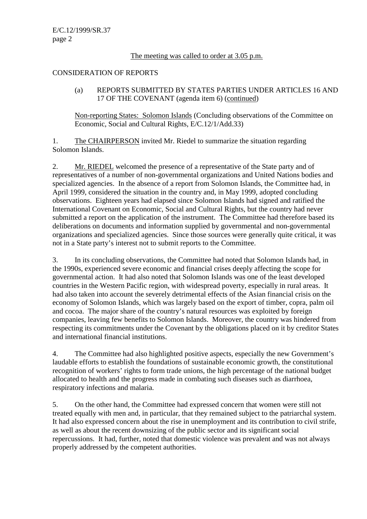#### The meeting was called to order at 3.05 p.m.

#### CONSIDERATION OF REPORTS

(a) REPORTS SUBMITTED BY STATES PARTIES UNDER ARTICLES 16 AND 17 OF THE COVENANT (agenda item 6) (continued)

Non-reporting States: Solomon Islands (Concluding observations of the Committee on Economic, Social and Cultural Rights, E/C.12/1/Add.33)

1. The CHAIRPERSON invited Mr. Riedel to summarize the situation regarding Solomon Islands.

2. Mr. RIEDEL welcomed the presence of a representative of the State party and of representatives of a number of non-governmental organizations and United Nations bodies and specialized agencies. In the absence of a report from Solomon Islands, the Committee had, in April 1999, considered the situation in the country and, in May 1999, adopted concluding observations. Eighteen years had elapsed since Solomon Islands had signed and ratified the International Covenant on Economic, Social and Cultural Rights, but the country had never submitted a report on the application of the instrument. The Committee had therefore based its deliberations on documents and information supplied by governmental and non-governmental organizations and specialized agencies. Since those sources were generally quite critical, it was not in a State party's interest not to submit reports to the Committee.

3. In its concluding observations, the Committee had noted that Solomon Islands had, in the 1990s, experienced severe economic and financial crises deeply affecting the scope for governmental action. It had also noted that Solomon Islands was one of the least developed countries in the Western Pacific region, with widespread poverty, especially in rural areas. It had also taken into account the severely detrimental effects of the Asian financial crisis on the economy of Solomon Islands, which was largely based on the export of timber, copra, palm oil and cocoa. The major share of the country's natural resources was exploited by foreign companies, leaving few benefits to Solomon Islands. Moreover, the country was hindered from respecting its commitments under the Covenant by the obligations placed on it by creditor States and international financial institutions.

4. The Committee had also highlighted positive aspects, especially the new Government's laudable efforts to establish the foundations of sustainable economic growth, the constitutional recognition of workers' rights to form trade unions, the high percentage of the national budget allocated to health and the progress made in combating such diseases such as diarrhoea, respiratory infections and malaria.

5. On the other hand, the Committee had expressed concern that women were still not treated equally with men and, in particular, that they remained subject to the patriarchal system. It had also expressed concern about the rise in unemployment and its contribution to civil strife, as well as about the recent downsizing of the public sector and its significant social repercussions. It had, further, noted that domestic violence was prevalent and was not always properly addressed by the competent authorities.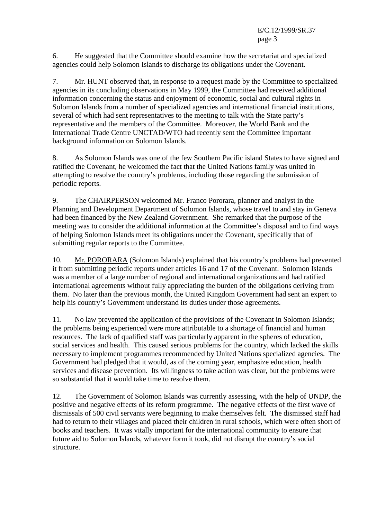E/C.12/1999/SR.37 page 3

6. He suggested that the Committee should examine how the secretariat and specialized agencies could help Solomon Islands to discharge its obligations under the Covenant.

7. Mr. HUNT observed that, in response to a request made by the Committee to specialized agencies in its concluding observations in May 1999, the Committee had received additional information concerning the status and enjoyment of economic, social and cultural rights in Solomon Islands from a number of specialized agencies and international financial institutions, several of which had sent representatives to the meeting to talk with the State party's representative and the members of the Committee. Moreover, the World Bank and the International Trade Centre UNCTAD/WTO had recently sent the Committee important background information on Solomon Islands.

8. As Solomon Islands was one of the few Southern Pacific island States to have signed and ratified the Covenant, he welcomed the fact that the United Nations family was united in attempting to resolve the country's problems, including those regarding the submission of periodic reports.

9. The CHAIRPERSON welcomed Mr. Franco Pororara, planner and analyst in the Planning and Development Department of Solomon Islands, whose travel to and stay in Geneva had been financed by the New Zealand Government. She remarked that the purpose of the meeting was to consider the additional information at the Committee's disposal and to find ways of helping Solomon Islands meet its obligations under the Covenant, specifically that of submitting regular reports to the Committee.

10. Mr. PORORARA (Solomon Islands) explained that his country's problems had prevented it from submitting periodic reports under articles 16 and 17 of the Covenant. Solomon Islands was a member of a large number of regional and international organizations and had ratified international agreements without fully appreciating the burden of the obligations deriving from them. No later than the previous month, the United Kingdom Government had sent an expert to help his country's Government understand its duties under those agreements.

11. No law prevented the application of the provisions of the Covenant in Solomon Islands; the problems being experienced were more attributable to a shortage of financial and human resources. The lack of qualified staff was particularly apparent in the spheres of education, social services and health. This caused serious problems for the country, which lacked the skills necessary to implement programmes recommended by United Nations specialized agencies. The Government had pledged that it would, as of the coming year, emphasize education, health services and disease prevention. Its willingness to take action was clear, but the problems were so substantial that it would take time to resolve them.

12. The Government of Solomon Islands was currently assessing, with the help of UNDP, the positive and negative effects of its reform programme. The negative effects of the first wave of dismissals of 500 civil servants were beginning to make themselves felt. The dismissed staff had had to return to their villages and placed their children in rural schools, which were often short of books and teachers. It was vitally important for the international community to ensure that future aid to Solomon Islands, whatever form it took, did not disrupt the country's social structure.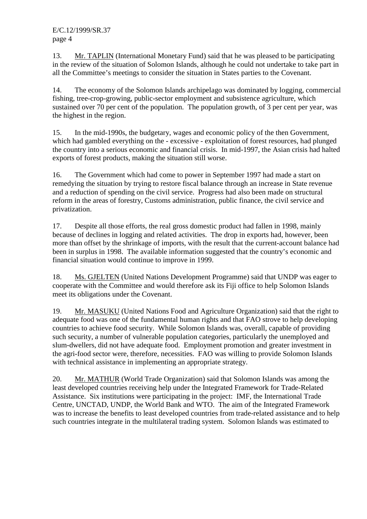13. Mr. TAPLIN (International Monetary Fund) said that he was pleased to be participating in the review of the situation of Solomon Islands, although he could not undertake to take part in all the Committee's meetings to consider the situation in States parties to the Covenant.

14. The economy of the Solomon Islands archipelago was dominated by logging, commercial fishing, tree-crop-growing, public-sector employment and subsistence agriculture, which sustained over 70 per cent of the population. The population growth, of 3 per cent per year, was the highest in the region.

15. In the mid-1990s, the budgetary, wages and economic policy of the then Government, which had gambled everything on the - excessive - exploitation of forest resources, had plunged the country into a serious economic and financial crisis. In mid-1997, the Asian crisis had halted exports of forest products, making the situation still worse.

16. The Government which had come to power in September 1997 had made a start on remedying the situation by trying to restore fiscal balance through an increase in State revenue and a reduction of spending on the civil service. Progress had also been made on structural reform in the areas of forestry, Customs administration, public finance, the civil service and privatization.

17. Despite all those efforts, the real gross domestic product had fallen in 1998, mainly because of declines in logging and related activities. The drop in exports had, however, been more than offset by the shrinkage of imports, with the result that the current-account balance had been in surplus in 1998. The available information suggested that the country's economic and financial situation would continue to improve in 1999.

18. Ms. GJELTEN (United Nations Development Programme) said that UNDP was eager to cooperate with the Committee and would therefore ask its Fiji office to help Solomon Islands meet its obligations under the Covenant.

19. Mr. MASUKU (United Nations Food and Agriculture Organization) said that the right to adequate food was one of the fundamental human rights and that FAO strove to help developing countries to achieve food security. While Solomon Islands was, overall, capable of providing such security, a number of vulnerable population categories, particularly the unemployed and slum-dwellers, did not have adequate food. Employment promotion and greater investment in the agri-food sector were, therefore, necessities. FAO was willing to provide Solomon Islands with technical assistance in implementing an appropriate strategy.

20. Mr. MATHUR (World Trade Organization) said that Solomon Islands was among the least developed countries receiving help under the Integrated Framework for Trade-Related Assistance. Six institutions were participating in the project: IMF, the International Trade Centre, UNCTAD, UNDP, the World Bank and WTO. The aim of the Integrated Framework was to increase the benefits to least developed countries from trade-related assistance and to help such countries integrate in the multilateral trading system. Solomon Islands was estimated to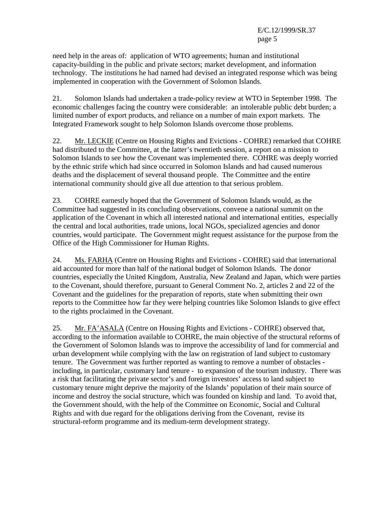need help in the areas of: application of WTO agreements; human and institutional capacity-building in the public and private sectors; market development, and information technology. The institutions he had named had devised an integrated response which was being implemented in cooperation with the Government of Solomon Islands.

21. Solomon Islands had undertaken a trade-policy review at WTO in September 1998. The economic challenges facing the country were considerable: an intolerable public debt burden; a limited number of export products, and reliance on a number of main export markets. The Integrated Framework sought to help Solomon Islands overcome those problems.

22. Mr. LECKIE (Centre on Housing Rights and Evictions - COHRE) remarked that COHRE had distributed to the Committee, at the latter's twentieth session, a report on a mission to Solomon Islands to see how the Covenant was implemented there. COHRE was deeply worried by the ethnic strife which had since occurred in Solomon Islands and had caused numerous deaths and the displacement of several thousand people. The Committee and the entire international community should give all due attention to that serious problem.

23. COHRE earnestly hoped that the Government of Solomon Islands would, as the Committee had suggested in its concluding observations, convene a national summit on the application of the Covenant in which all interested national and international entities, especially the central and local authorities, trade unions, local NGOs, specialized agencies and donor countries, would participate. The Government might request assistance for the purpose from the Office of the High Commissioner for Human Rights.

24. Ms. FARHA (Centre on Housing Rights and Evictions - COHRE) said that international aid accounted for more than half of the national budget of Solomon Islands. The donor countries, especially the United Kingdom, Australia, New Zealand and Japan, which were parties to the Covenant, should therefore, pursuant to General Comment No. 2, articles 2 and 22 of the Covenant and the guidelines for the preparation of reports, state when submitting their own reports to the Committee how far they were helping countries like Solomon Islands to give effect to the rights proclaimed in the Covenant.

25. Mr. FA'ASALA (Centre on Housing Rights and Evictions - COHRE) observed that, according to the information available to COHRE, the main objective of the structural reforms of the Government of Solomon Islands was to improve the accessibility of land for commercial and urban development while complying with the law on registration of land subject to customary tenure. The Government was further reported as wanting to remove a number of obstacles including, in particular, customary land tenure - to expansion of the tourism industry. There was a risk that facilitating the private sector's and foreign investors' access to land subject to customary tenure might deprive the majority of the Islands' population of their main source of income and destroy the social structure, which was founded on kinship and land. To avoid that, the Government should, with the help of the Committee on Economic, Social and Cultural Rights and with due regard for the obligations deriving from the Covenant, revise its structural-reform programme and its medium-term development strategy.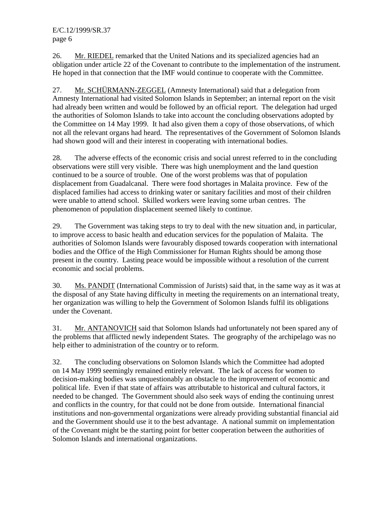E/C.12/1999/SR.37 page 6

26. Mr. RIEDEL remarked that the United Nations and its specialized agencies had an obligation under article 22 of the Covenant to contribute to the implementation of the instrument. He hoped in that connection that the IMF would continue to cooperate with the Committee.

27. Mr. SCHÜRMANN-ZEGGEL (Amnesty International) said that a delegation from Amnesty International had visited Solomon Islands in September; an internal report on the visit had already been written and would be followed by an official report. The delegation had urged the authorities of Solomon Islands to take into account the concluding observations adopted by the Committee on 14 May 1999. It had also given them a copy of those observations, of which not all the relevant organs had heard. The representatives of the Government of Solomon Islands had shown good will and their interest in cooperating with international bodies.

28. The adverse effects of the economic crisis and social unrest referred to in the concluding observations were still very visible. There was high unemployment and the land question continued to be a source of trouble. One of the worst problems was that of population displacement from Guadalcanal. There were food shortages in Malaita province. Few of the displaced families had access to drinking water or sanitary facilities and most of their children were unable to attend school. Skilled workers were leaving some urban centres. The phenomenon of population displacement seemed likely to continue.

29. The Government was taking steps to try to deal with the new situation and, in particular, to improve access to basic health and education services for the population of Malaita. The authorities of Solomon Islands were favourably disposed towards cooperation with international bodies and the Office of the High Commissioner for Human Rights should be among those present in the country. Lasting peace would be impossible without a resolution of the current economic and social problems.

30. Ms. PANDIT (International Commission of Jurists) said that, in the same way as it was at the disposal of any State having difficulty in meeting the requirements on an international treaty, her organization was willing to help the Government of Solomon Islands fulfil its obligations under the Covenant.

31. Mr. ANTANOVICH said that Solomon Islands had unfortunately not been spared any of the problems that afflicted newly independent States. The geography of the archipelago was no help either to administration of the country or to reform.

32. The concluding observations on Solomon Islands which the Committee had adopted on 14 May 1999 seemingly remained entirely relevant. The lack of access for women to decision-making bodies was unquestionably an obstacle to the improvement of economic and political life. Even if that state of affairs was attributable to historical and cultural factors, it needed to be changed. The Government should also seek ways of ending the continuing unrest and conflicts in the country, for that could not be done from outside. International financial institutions and non-governmental organizations were already providing substantial financial aid and the Government should use it to the best advantage. A national summit on implementation of the Covenant might be the starting point for better cooperation between the authorities of Solomon Islands and international organizations.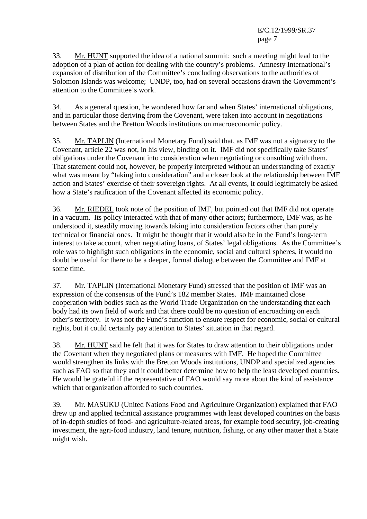E/C.12/1999/SR.37 page 7

33. Mr. HUNT supported the idea of a national summit: such a meeting might lead to the adoption of a plan of action for dealing with the country's problems. Amnesty International's expansion of distribution of the Committee's concluding observations to the authorities of Solomon Islands was welcome; UNDP, too, had on several occasions drawn the Government's attention to the Committee's work.

34. As a general question, he wondered how far and when States' international obligations, and in particular those deriving from the Covenant, were taken into account in negotiations between States and the Bretton Woods institutions on macroeconomic policy.

35. Mr. TAPLIN (International Monetary Fund) said that, as IMF was not a signatory to the Covenant, article 22 was not, in his view, binding on it. IMF did not specifically take States' obligations under the Covenant into consideration when negotiating or consulting with them. That statement could not, however, be properly interpreted without an understanding of exactly what was meant by "taking into consideration" and a closer look at the relationship between IMF action and States' exercise of their sovereign rights. At all events, it could legitimately be asked how a State's ratification of the Covenant affected its economic policy.

36. Mr. RIEDEL took note of the position of IMF, but pointed out that IMF did not operate in a vacuum. Its policy interacted with that of many other actors; furthermore, IMF was, as he understood it, steadily moving towards taking into consideration factors other than purely technical or financial ones. It might be thought that it would also be in the Fund's long-term interest to take account, when negotiating loans, of States' legal obligations. As the Committee's role was to highlight such obligations in the economic, social and cultural spheres, it would no doubt be useful for there to be a deeper, formal dialogue between the Committee and IMF at some time.

37. Mr. TAPLIN (International Monetary Fund) stressed that the position of IMF was an expression of the consensus of the Fund's 182 member States. IMF maintained close cooperation with bodies such as the World Trade Organization on the understanding that each body had its own field of work and that there could be no question of encroaching on each other's territory. It was not the Fund's function to ensure respect for economic, social or cultural rights, but it could certainly pay attention to States' situation in that regard.

38. Mr. HUNT said he felt that it was for States to draw attention to their obligations under the Covenant when they negotiated plans or measures with IMF. He hoped the Committee would strengthen its links with the Bretton Woods institutions, UNDP and specialized agencies such as FAO so that they and it could better determine how to help the least developed countries. He would be grateful if the representative of FAO would say more about the kind of assistance which that organization afforded to such countries.

39. Mr. MASUKU (United Nations Food and Agriculture Organization) explained that FAO drew up and applied technical assistance programmes with least developed countries on the basis of in-depth studies of food- and agriculture-related areas, for example food security, job-creating investment, the agri-food industry, land tenure, nutrition, fishing, or any other matter that a State might wish.